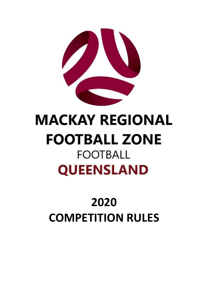

# **MACKAY REGIONAL FOOTBALL ZONE FOOTBALL QUEENSLAND**

# **2020 COMPETITION RULES**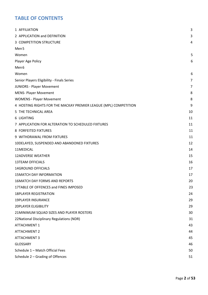#### **TABLE OF CONTENTS**

| 1 AFFILIATION                                                    | 3              |
|------------------------------------------------------------------|----------------|
| 2 APPLICATION and DEFINITION                                     | 3              |
| 3 COMPETITION STRUCTURE                                          | 4              |
| Men <sub>5</sub>                                                 |                |
| Women                                                            | 5              |
| Player Age Policy                                                | 6              |
| Men <sub>6</sub>                                                 |                |
| Women                                                            | 6              |
| Senior Players Eligibility - Finals Series                       | $\overline{7}$ |
| <b>JUNIORS - Player Movement</b>                                 | 7              |
| <b>MENS- Player Movement</b>                                     | 8              |
| <b>WOMENS - Player Movement</b>                                  | 8              |
| 4 HOSTING RIGHTS FOR THE MACKAY PREMIER LEAGUE (MPL) COMPETITION | 9              |
| 5 THE TECHNICAL AREA                                             | 10             |
| 6 LIGHTING                                                       | 11             |
| 7 APPLICATION FOR ALTERATION TO SCHEDULED FIXTURES               | 11             |
| 8 FORFEITED FIXTURES                                             | 11             |
| 9 WITHDRAWAL FROM FIXTURES                                       | 11             |
| 10DELAYED, SUSPENDED AND ABANDONED FIXTURES                      | 12             |
| 11MEDICAL                                                        | 14             |
| <b>12ADVERSE WEATHER</b>                                         | 15             |
| <b>13TEAM OFFICIALS</b>                                          | 16             |
| <b>14GROUND OFFICIALS</b>                                        | 17             |
| <b>15MATCH DAY INFORMATION</b>                                   | 17             |
| <b>16MATCH DAY FORMS AND REPORTS</b>                             | 20             |
| 17TABLE OF OFFENCES and FINES IMPOSED                            | 23             |
| <b>18PLAYER REGISTRATION</b>                                     | 24             |
| <b>19PLAYER INSURANCE</b>                                        | 29             |
| <b>20PLAYER ELIGIBILITY</b>                                      | 29             |
| 21MINIMUM SQUAD SIZES AND PLAYER ROSTERS                         | 30             |
| 22 National Disciplinary Regulations (NDR)                       | 31             |
| <b>ATTACHMENT 1</b>                                              | 43             |
| <b>ATTACHMENT 2</b>                                              | 44             |
| <b>ATTACHMENT 3</b>                                              | 45             |
| <b>GLOSSARY</b>                                                  | 46             |
| Schedule 1 - Match Official Fees                                 | 50             |
| Schedule 2 - Grading of Offences                                 | 51             |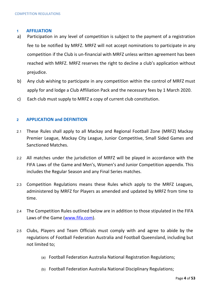#### <span id="page-3-0"></span>**1 AFFILIATION**

- a) Participation in any level of competition is subject to the payment of a registration fee to be notified by MRFZ. MRFZ will not accept nominations to participate in any competition if the Club is un-financial with MRFZ unless written agreement has been reached with MRFZ. MRFZ reserves the right to decline a club's application without prejudice.
- b) Any club wishing to participate in any competition within the control of MRFZ must apply for and lodge a Club Affiliation Pack and the necessary fees by 1 March 2020.
- c) Each club must supply to MRFZ a copy of current club constitution.

#### <span id="page-3-1"></span>**2 APPLICATION and DEFINITION**

- 2.1 These Rules shall apply to all Mackay and Regional Football Zone (MRFZ) Mackay Premier League, Mackay City League, Junior Competitive, Small Sided Games and Sanctioned Matches.
- 2.2 All matches under the jurisdiction of MRFZ will be played in accordance with the FIFA Laws of the Game and Men's, Women's and Junior Competition appendix. This includes the Regular Season and any Final Series matches.
- 2.3 Competition Regulations means these Rules which apply to the MRFZ Leagues, administered by MRFZ for Players as amended and updated by MRFZ from time to time.
- 2.4 The Competition Rules outlined below are in addition to those stipulated in the FIFA Laws of the Game [\(www.fifa.com\)](http://www.fifa.com/).
- 2.5 Clubs, Players and Team Officials must comply with and agree to abide by the regulations of Football Federation Australia and Football Queensland, including but not limited to;
	- (a) Football Federation Australia National Registration Regulations;
	- (b) Football Federation Australia National Disciplinary Regulations;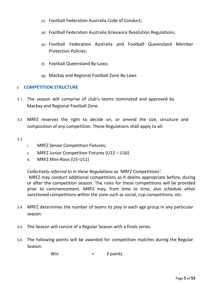- (c) Football Federation Australia Code of Conduct;
- (d) Football Federation Australia Grievance Resolution Regulations;
- (e) Football Federation Australia and Football Queensland Member Protection Policies;
- (f) Football Queensland By-Laws;
- (g) Mackay and Regional Football Zone By-Laws

#### <span id="page-4-0"></span>**3 COMPETITION STRUCTURE**

- 3.1 The season will comprise of club's teams nominated and approved by Mackay and Regional Football Zone.
- 3.2 MRFZ reserves the right to decide on, or amend the size, structure and composition of any competition. These Regulations shall apply to all:

3.3

- i. MRFZ Senior Competition Fixtures;
- ii. MRFZ Junior Competition Fixtures (U12 U16)
- iii. MRFZ Mini-Roos (U5-U11)

*Collectively referred to in these Regulations as 'MRFZ Competitions'.*

MRFZ may conduct additional competitions as it deems appropriate before, during or after the competition season. The rules for these competitions will be provided prior to commencement. MRFZ may, from time to time, also schedule other sanctioned competitions within the zone such as social, cup competitions, etc.

- 3.4 MRFZ determines the number of teams to play in each age group in any particular season.
- 3.5 The Season will consist of a Regular Season with a finals series.
- 3.6 The following points will be awarded for competition matches during the Regular Season.

Win  $=$  3 points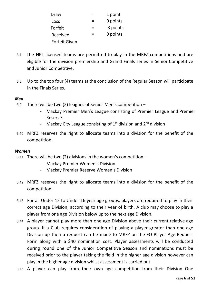| Draw                 |   | 1 point  |
|----------------------|---|----------|
| Loss                 |   | 0 points |
| Forfeit              | = | 3 points |
| Received             |   | 0 points |
| <b>Forfeit Given</b> |   |          |

- 3.7 The NPL licensed teams are permitted to play in the MRFZ competitions and are eligible for the division premiership and Grand Finals series in Senior Competitive and Junior Competitive.
- 3.8 Up to the top four (4) teams at the conclusion of the Regular Season will participate in the Finals Series.

#### <span id="page-5-0"></span>*Men*

- 3.9 There will be two (2) leagues of Senior Men's competition
	- Mackay Premier Men's League consisting of Premier League and Premier Reserve
	- Mackay City League consisting of  $1<sup>st</sup>$  division and  $2<sup>nd</sup>$  division
- 3.10 MRFZ reserves the right to allocate teams into a division for the benefit of the competition.

#### <span id="page-5-1"></span>*Women*

- 3.11 There will be two (2) divisions in the women's competition  $-$ 
	- Mackay Premier Women's Division
	- Mackay Premier Reserve Women's Division
- 3.12 MRFZ reserves the right to allocate teams into a division for the benefit of the competition.
- 3.13 For all Under 12 to Under 16 year age groups, players are required to play in their correct age Division, according to their year of birth. A club may choose to play a player from one age Division below up to the next age Division.
- 3.14 A player cannot play more than one age Division above their current relative age group. If a Club requires consideration of playing a player greater than one age Division up then a request can be made to MRFZ on the FQ Player Age Request Form along with a \$40 nomination cost. Player assessments will be conducted during round one of the Junior Competitive Season and nominations must be received prior to the player taking the field in the higher age division however can play in the higher age division whilst assessment is carried out.
- 3.15 A player can play from their own age competition from their Division One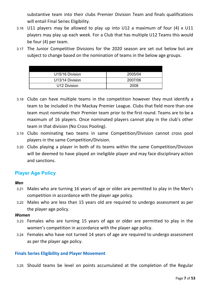substantive team into their clubs Premier Division Team and finals qualifications will entail Final Series Eligibility.

- 3.16 U11 players may be allowed to play up into U12 a maximum of four (4) x U11 players may play up each week. For a Club that has multiple U12 Teams this would be four (4) per team.
- 3.17 The Junior Competitive Divisions for the 2020 season are set out below but are subject to change based on the nomination of teams in the below age groups.

| U15/16 Division | 2005/04 |
|-----------------|---------|
| U13/14 Division | 2007/06 |
| U12 Division    | 2008    |

- 3.18 Clubs can have multiple teams in the competition however they must identify a team to be included in the Mackay Premier League. Clubs that field more than one team must nominate their Premier team prior to the first round. Teams are to be a maximum of 16 players. Once nominated players cannot play in the club's other team in that division (No Cross Pooling).
- 3.19 Clubs nominating two teams in same Competition/Division cannot cross pool players in the same Competition/Division.
- 3.20 Clubs playing a player in both of its teams within the same Competition/Division will be deemed to have played an ineligible player and may face disciplinary action and sanctions.

#### <span id="page-6-0"></span>**Player Age Policy**

#### <span id="page-6-1"></span>*Men*

- 3.21 Males who are turning 16 years of age or older are permitted to play in the Men's competition in accordance with the player age policy.
- 3.22 Males who are less than 15 years old are required to undergo assessment as per the player age policy.

#### <span id="page-6-2"></span>*Women*

- 3.23 Females who are turning 15 years of age or older are permitted to play in the women's competition in accordance with the player age policy.
- 3.24 Females who have not turned 14 years of age are required to undergo assessment as per the player age policy.

#### **Finals Series Eligibility and Player Movement**

3.25 Should teams be level on points accumulated at the completion of the Regular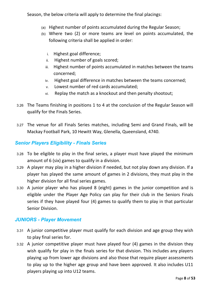Season, the below criteria will apply to determine the final placings:

- (a) Highest number of points accumulated during the Regular Season;
- (b) Where two (2) or more teams are level on points accumulated, the following criteria shall be applied in order:
	- i. Highest goal difference;
	- ii. Highest number of goals scored;
	- iii. Highest number of points accumulated in matches between the teams concerned;
	- iv. Highest goal difference in matches between the teams concerned;
	- v. Lowest number of red cards accumulated;
	- vi. Replay the match as a knockout and then penalty shootout;
- 3.26 The Teams finishing in positions 1 to 4 at the conclusion of the Regular Season will qualify for the Finals Series.
- 3.27 The venue for all Finals Series matches, including Semi and Grand Finals, will be Mackay Football Park, 10 Hewitt Way, Glenella, Queensland, 4740.

#### <span id="page-7-0"></span>*Senior Players Eligibility - Finals Series*

- 3.28 To be eligible to play in the final series, a player must have played the minimum amount of 6 (six) games to qualify in a division.
- 3.29 A player may play in a higher division if needed, but not play down any division. If a player has played the same amount of games in 2 divisions, they must play in the higher division for all final series games.
- 3.30 A junior player who has played 8 (eight) games in the junior competition and is eligible under the Player Age Policy can play for their club in the Seniors Finals series if they have played four (4) games to qualify them to play in that particular Senior Division.

#### <span id="page-7-1"></span>*JUNIORS - Player Movement*

- 3.31 A junior competitive player must qualify for each division and age group they wish to play final series for.
- 3.32 A junior competitive player must have played four (4) games in the division they wish qualify for play in the finals series for that division. This includes any players playing up from lower age divisions and also those that require player assessments to play up to the higher age group and have been approved. It also includes U11 players playing up into U12 teams.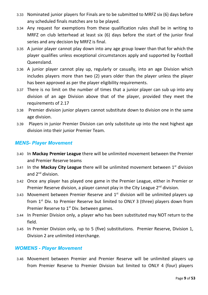- 3.33 Nominated junior players for Finals are to be submitted to MRFZ six (6) days before any scheduled finals matches are to be played.
- 3.34 Any request for exemptions from these qualification rules shall be in writing to MRFZ on club letterhead at least six (6) days before the start of the junior final series and any decision by MRFZ is final.
- 3.35 A junior player cannot play down into any age group lower than that for which the player qualifies unless exceptional circumstances apply and supported by Football Queensland.
- 3.36 A junior player cannot play up, regularly or casually, into an age Division which includes players more than two (2) years older than the player unless the player has been approved as per the player eligibility requirements.
- 3.37 There is no limit on the number of times that a junior player can sub up into any division of an age Division above that of the player, provided they meet the requirements of 2.17
- 3.38 Premier division junior players cannot substitute down to division one in the same age division.
- 3.39 Players in junior Premier Division can only substitute up into the next highest age division into their junior Premier Team.

#### <span id="page-8-0"></span>*MENS- Player Movement*

- 3.40 In **Mackay Premier League** there will be unlimited movement between the Premier and Premier Reserve teams
- 3.41 In the **Mackay City League** there will be unlimited movement between 1 st division and 2<sup>nd</sup> division.
- 3.42 Once any player has played one game in the Premier League, either in Premier or Premier Reserve division, a player cannot play in the City League  $2<sup>nd</sup>$  division.
- 3.43 Movement between Premier Reserve and  $1<sup>st</sup>$  division will be unlimited players up from  $1<sup>st</sup>$  Div. to Premier Reserve but limited to ONLY 3 (three) players down from Premier Reserve to  $1<sup>st</sup>$  Div. between games.
- 3.44 In Premier Division only, a player who has been substituted may NOT return to the field.
- 3.45 In Premier Division only, up to 5 (five) substitutions. Premier Reserve, Division 1, Division 2 are unlimited interchange.

#### <span id="page-8-1"></span>*WOMENS - Player Movement*

3.46 Movement between Premier and Premier Reserve will be unlimited players up from Premier Reserve to Premier Division but limited to ONLY 4 (four) players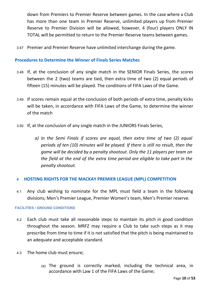down from Premiers to Premier Reserve between games. In the case where a Club has more than one team in Premier Reserve, unlimited players up from Premier Reserve to Premier Division will be allowed, however, 4 (four) players ONLY IN TOTAL will be permitted to return to the Premier Reserve teams between games.

3.47 Premier and Premier Reserve have unlimited interchange during the game.

#### **Procedures to Determine the Winner of Finals Series Matches**

- 3.48 If, at the conclusion of any single match in the SENIOR Finals Series, the scores between the 2 (two) teams are tied, then extra time of two (2) equal periods of fifteen (15) minutes will be played. The conditions of FIFA Laws of the Game.
- 3.49 If scores remain equal at the conclusion of both periods of extra time, penalty kicks will be taken, in accordance with FIFA Laws of the Game, to determine the winner of the match
- 3.50 If, at the conclusion of any single match in the JUNIORS Finals Series,
	- *a) In the Semi Finals if scores are equal, then extra time of two (2) equal periods of ten (10) minutes will be played. If there is still no result, then the game will be decided by a penalty shootout. Only the 11 players per team on the field at the end of the extra time period are eligible to take part in the penalty shootout.*

#### <span id="page-9-0"></span>**4 HOSTING RIGHTS FOR THE MACKAY PREMIER LEAGUE (MPL) COMPETITION**

4.1 Any club wishing to nominate for the MPL must field a team in the following divisions; Men's Premier League, Premier Women's team, Men's Premier reserve.

#### **FACILITIES / GROUND CONDITIONS**

- 4.2 Each club must take all reasonable steps to maintain its pitch in good condition throughout the season. MRFZ may require a Club to take such steps as it may prescribe from time to time if it is not satisfied that the pitch is being maintained to an adequate and acceptable standard.
- 4.3 The home club must ensure;
	- (a) The ground is correctly marked, including the technical area, in accordance with Law 1 of the FIFA Laws of the Game;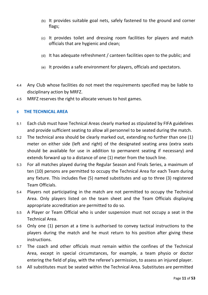- (b) It provides suitable goal nets, safely fastened to the ground and corner flags;
- (c) It provides toilet and dressing room facilities for players and match officials that are hygienic and clean;
- (d) It has adequate refreshment / canteen facilities open to the public; and
- (e) It provides a safe environment for players, officials and spectators.
- 4.4 Any Club whose facilities do not meet the requirements specified may be liable to disciplinary action by MRFZ.
- 4.5 MRFZ reserves the right to allocate venues to host games.

#### <span id="page-10-0"></span>**5 THE TECHNICAL AREA**

- 5.1 Each club must have Technical Areas clearly marked as stipulated by FIFA guidelines and provide sufficient seating to allow all personnel to be seated during the match.
- 5.2 The technical area should be clearly marked out, extending no further than one (1) meter on either side (left and right) of the designated seating area (extra seats should be available for use in addition to permanent seating if necessary) and extends forward up to a distance of one (1) meter from the touch line.
- 5.3 For all matches played during the Regular Season and Finals Series, a maximum of ten (10) persons are permitted to occupy the Technical Area for each Team during any fixture. This includes five (5) named substitutes and up to three (3) registered Team Officials.
- 5.4 Players not participating in the match are not permitted to occupy the Technical Area. Only players listed on the team sheet and the Team Officials displaying appropriate accreditation are permitted to do so.
- 5.5 A Player or Team Official who is under suspension must not occupy a seat in the Technical Area.
- 5.6 Only one (1) person at a time is authorised to convey tactical instructions to the players during the match and he must return to his position after giving these instructions.
- 5.7 The coach and other officials must remain within the confines of the Technical Area, except in special circumstances, for example, a team physio or doctor entering the field of play, with the referee's permission, to assess an injured player.
- 5.8 All substitutes must be seated within the Technical Area. Substitutes are permitted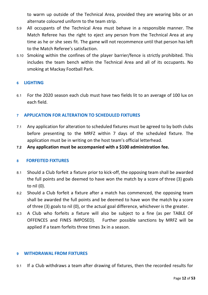to warm up outside of the Technical Area, provided they are wearing bibs or an alternate coloured uniform to the team strip.

- 5.9 All occupants of the Technical Area must behave in a responsible manner. The Match Referee has the right to eject any person from the Technical Area at any time as he or she sees fit. The game will not recommence until that person has left to the Match Referee's satisfaction.
- 5.10 Smoking within the confines of the player barrier/fence is strictly prohibited. This includes the team bench within the Technical Area and all of its occupants. No smoking at Mackay Football Park.

#### <span id="page-11-0"></span>**6 LIGHTING**

6.1 For the 2020 season each club must have two fields lit to an average of 100 lux on each field.

#### <span id="page-11-1"></span>**7 APPLICATION FOR ALTERATION TO SCHEDULED FIXTURES**

- 7.1 Any application for alteration to scheduled fixtures must be agreed to by both clubs before presenting to the MRFZ within 7 days of the scheduled fixture. The application must be in writing on the host team's official letterhead.
- **7.2 Any application must be accompanied with a \$100 administration fee.**

#### <span id="page-11-2"></span>**8 FORFEITED FIXTURES**

- 8.1 Should a Club forfeit a fixture prior to kick-off, the opposing team shall be awarded the full points and be deemed to have won the match by a score of three (3) goals to nil (0).
- 8.2 Should a Club forfeit a fixture after a match has commenced, the opposing team shall be awarded the full points and be deemed to have won the match by a score of three (3) goals to nil (0), or the actual goal difference, whichever is the greater.
- 8.3 A Club who forfeits a fixture will also be subject to a fine (as per TABLE OF OFFENCES and FINES IMPOSED). Further possible sanctions by MRFZ will be applied if a team forfeits three times 3x in a season.

#### <span id="page-11-3"></span>**9 WITHDRAWAL FROM FIXTURES**

9.1 If a Club withdraws a team after drawing of fixtures, then the recorded results for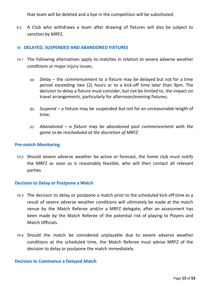that team will be deleted and a bye in the competition will be substituted.

9.2 A Club who withdraws a team after drawing of fixtures will also be subject to sanction by MRFZ.

#### <span id="page-12-0"></span>**10 DELAYED, SUSPENDED AND ABANDONED FIXTURES**

- 10.1 The following alternatives apply to matches in relation to severe adverse weather conditions or major injury issues;
	- (a) *Delay* the commencement to a fixture may be delayed but not for a time period exceeding two (2) hours or to a kick-off time later than 9pm. The decision to delay a fixture must consider, but not be limited to, the impact on travel arrangements, particularly for afternoon/evening fixtures;
	- (b) *Suspend* a fixture may be suspended but not for an unreasonable length of time;
	- *(c) Abandoned – a fixture may be abandoned post commencement with the game to be rescheduled at the discretion of MRFZ.*

#### **Pre-match Monitoring**

10.2 Should severe adverse weather be active or forecast, the home club must notify the MRFZ as soon as is reasonably feasible, who will then contact all relevant parties.

#### **Decision to Delay or Postpone a Match**

- 10.3 The decision to delay or postpone a match prior to the scheduled kick-off time as a result of severe adverse weather conditions will ultimately be made at the match venue by the Match Referee and/or a MRFZ delegate, after an assessment has been made by the Match Referee of the potential risk of playing to Players and Match Officials.
- 10.4 Should the match be considered unplayable due to severe adverse weather conditions at the scheduled time, the Match Referee must advise MRFZ of the decision to delay or postpone the match immediately.

#### **Decision to Commence a Delayed Match**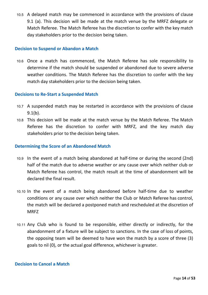10.5 A delayed match may be commenced in accordance with the provisions of clause 9.1 (a). This decision will be made at the match venue by the MRFZ delegate or Match Referee. The Match Referee has the discretion to confer with the key match day stakeholders prior to the decision being taken.

#### **Decision to Suspend or Abandon a Match**

10.6 Once a match has commenced, the Match Referee has sole responsibility to determine if the match should be suspended or abandoned due to severe adverse weather conditions. The Match Referee has the discretion to confer with the key match day stakeholders prior to the decision being taken.

#### **Decisions to Re-Start a Suspended Match**

- 10.7 A suspended match may be restarted in accordance with the provisions of clause 9.1(b).
- 10.8 This decision will be made at the match venue by the Match Referee. The Match Referee has the discretion to confer with MRFZ, and the key match day stakeholders prior to the decision being taken.

#### **Determining the Score of an Abandoned Match**

- 10.9 In the event of a match being abandoned at half-time or during the second (2nd) half of the match due to adverse weather or any cause over which neither club or Match Referee has control, the match result at the time of abandonment will be declared the final result.
- 10.10 In the event of a match being abandoned before half-time due to weather conditions or any cause over which neither the Club or Match Referee has control, the match will be declared a postponed match and rescheduled at the discretion of MRFZ
- 10.11 Any Club who is found to be responsible, either directly or indirectly, for the abandonment of a fixture will be subject to sanctions. In the case of loss of points, the opposing team will be deemed to have won the match by a score of three (3) goals to nil (0), or the actual goal difference, whichever is greater.

#### **Decision to Cancel a Match**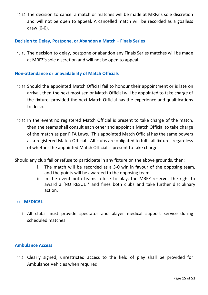10.12 The decision to cancel a match or matches will be made at MRFZ's sole discretion and will not be open to appeal. A cancelled match will be recorded as a goalless draw (0-0).

#### **Decision to Delay, Postpone, or Abandon a Match – Finals Series**

10.13 The decision to delay, postpone or abandon any Finals Series matches will be made at MRFZ's sole discretion and will not be open to appeal.

#### **Non-attendance or unavailability of Match Officials**

- 10.14 Should the appointed Match Official fail to honour their appointment or is late on arrival, then the next most senior Match Official will be appointed to take charge of the fixture, provided the next Match Official has the experience and qualifications to do so.
- 10.15 In the event no registered Match Official is present to take charge of the match, then the teams shall consult each other and appoint a Match Official to take charge of the match as per FIFA Laws. This appointed Match Official has the same powers as a registered Match Official. All clubs are obligated to fulfil all fixtures regardless of whether the appointed Match Official is present to take charge.
- Should any club fail or refuse to participate in any fixture on the above grounds, then:
	- i. The match will be recorded as a 3-0 win in favour of the opposing team, and the points will be awarded to the opposing team.
	- ii. In the event both teams refuse to play, the MRFZ reserves the right to award a 'NO RESULT' and fines both clubs and take further disciplinary action.

#### <span id="page-14-0"></span>**11 MEDICAL**

11.1 All clubs must provide spectator and player medical support service during scheduled matches.

#### **Ambulance Access**

11.2 Clearly signed, unrestricted access to the field of play shall be provided for Ambulance Vehicles when required.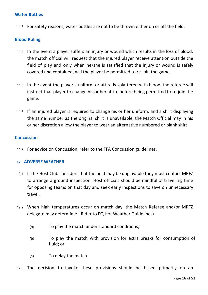#### **Water Bottles**

11.3 For safety reasons, water bottles are not to be thrown either on or off the field.

#### **Blood Ruling**

- 11.4 In the event a player suffers an injury or wound which results in the loss of blood, the match official will request that the injured player receive attention outside the field of play and only when he/she is satisfied that the injury or wound is safely covered and contained, will the player be permitted to re-join the game.
- 11.5 In the event the player's uniform or attire is splattered with blood, the referee will instruct that player to change his or her attire before being permitted to re-join the game.
- 11.6 If an injured player is required to change his or her uniform, and a shirt displaying the same number as the original shirt is unavailable, the Match Official may in his or her discretion allow the player to wear an alternative numbered or blank shirt.

#### **Concussion**

11.7 For advice on Concussion, refer to the FFA Concussion guidelines.

#### <span id="page-15-0"></span>**12 ADVERSE WEATHER**

- 12.1 If the Host Club considers that the field may be unplayable they must contact MRFZ to arrange a ground inspection. Host officials should be mindful of travelling time for opposing teams on that day and seek early inspections to save on unnecessary travel.
- 12.2 When high temperatures occur on match day, the Match Referee and/or MRFZ delegate may determine: (Refer to FQ Hot Weather Guidelines)
	- (a) To play the match under standard conditions;
	- (b) To play the match with provision for extra breaks for consumption of fluid; or
	- (c) To delay the match.

12.3 The decision to invoke these provisions should be based primarily on an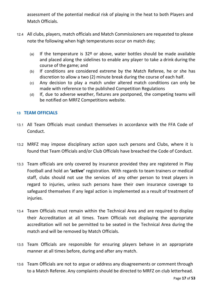assessment of the potential medical risk of playing in the heat to both Players and Match Officials.

- 12.4 All clubs, players, match officials and Match Commissioners are requested to please note the following when high temperatures occur on match day;
	- (a) If the temperature is 32º or above, water bottles should be made available and placed along the sidelines to enable any player to take a drink during the course of the game; and
	- (b) If conditions are considered extreme by the Match Referee, he or she has discretion to allow a two (2) minute break during the course of each half.
	- (c) Any decision to play a match under altered match conditions can only be made with reference to the published Competition Regulations
	- (d) If, due to adverse weather, fixtures are postponed, the competing teams will be notified on MRFZ Competitions website.

#### <span id="page-16-0"></span>**13 TEAM OFFICIALS**

- 13.1 All Team Officials must conduct themselves in accordance with the FFA Code of Conduct.
- 13.2 MRFZ may impose disciplinary action upon such persons and Clubs, where it is found that Team Officials and/or Club Officials have breached the Code of Conduct.
- 13.3 Team officials are only covered by insurance provided they are registered in Play Football and hold an **'active'** registration. With regards to team trainers or medical staff, clubs should not use the services of any other person to treat players in regard to injuries, unless such persons have their own insurance coverage to safeguard themselves if any legal action is implemented as a result of treatment of injuries.
- 13.4 Team Officials must remain within the Technical Area and are required to display their Accreditation at all times. Team Officials not displaying the appropriate accreditation will not be permitted to be seated in the Technical Area during the match and will be removed by Match Officials.
- 13.5 Team Officials are responsible for ensuring players behave in an appropriate manner at all times before, during and after any match.
- 13.6 Team Officials are not to argue or address any disagreements or comment through to a Match Referee. Any complaints should be directed to MRFZ on club letterhead.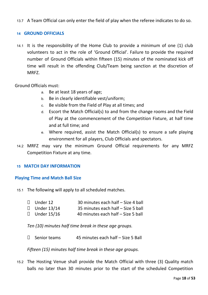13.7 A Team Official can only enter the field of play when the referee indicates to do so.

#### <span id="page-17-0"></span>**14 GROUND OFFICIALS**

14.1 It is the responsibility of the Home Club to provide a minimum of one (1) club volunteers to act in the role of 'Ground Official'. Failure to provide the required number of Ground Officials within fifteen (15) minutes of the nominated kick off time will result in the offending Club/Team being sanction at the discretion of MRFZ.

Ground Officials must:

- a. Be at least 18 years of age;
- b. Be in clearly identifiable vest/uniform;
- c. Be visible from the Field of Play at all times; and
- d. Escort the Match Official(s) to and from the change rooms and the Field of Play at the commencement of the Competition Fixture, at half time and at full time; and
- e. Where required, assist the Match Official(s) to ensure a safe playing environment for all players, Club Officials and spectators.
- 14.2 MRFZ may vary the minimum Ground Official requirements for any MRFZ Competition Fixture at any time.

#### <span id="page-17-1"></span>**15 MATCH DAY INFORMATION**

#### **Playing Time and Match Ball Size**

15.1 The following will apply to all scheduled matches.

| $\Box$ Under 12    | 30 minutes each half - Size 4 ball |
|--------------------|------------------------------------|
| $\Box$ Under 13/14 | 35 minutes each half - Size 5 ball |
|                    |                                    |

 $\Box$  Under 15/16 40 minutes each half – Size 5 ball

*Ten (10) minutes half time break in these age groups.*

 $\Box$  Senior teams 45 minutes each half – Size 5 Ball

*Fifteen (15) minutes half time break in these age groups.*

15.2 The Hosting Venue shall provide the Match Official with three (3) Quality match balls no later than 30 minutes prior to the start of the scheduled Competition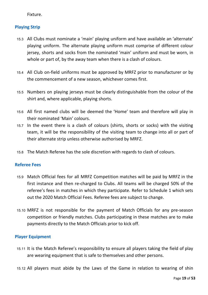Fixture.

#### **Playing Strip**

- 15.3 All Clubs must nominate a 'main' playing uniform and have available an 'alternate' playing uniform. The alternate playing uniform must comprise of different colour jersey, shorts and socks from the nominated 'main' uniform and must be worn, in whole or part of, by the away team when there is a clash of colours.
- 15.4 All Club on-field uniforms must be approved by MRFZ prior to manufacturer or by the commencement of a new season, whichever comes first.
- 15.5 Numbers on playing jerseys must be clearly distinguishable from the colour of the shirt and, where applicable, playing shorts.
- 15.6 All first named clubs will be deemed the 'Home' team and therefore will play in their nominated 'Main' colours.
- 15.7 In the event there is a clash of colours (shirts, shorts or socks) with the visiting team, it will be the responsibility of the visiting team to change into all or part of their alternate strip unless otherwise authorised by MRFZ.
- 15.8 The Match Referee has the sole discretion with regards to clash of colours.

#### **Referee Fees**

- 15.9 Match Official fees for all MRFZ Competition matches will be paid by MRFZ in the first instance and then re-charged to Clubs. All teams will be charged 50% of the referee's fees in matches in which they participate. Refer to Schedule 1 which sets out the 2020 Match Official Fees. Referee fees are subject to change.
- 15.10 MRFZ is not responsible for the payment of Match Officials for any pre-season competition or friendly matches. Clubs participating in these matches are to make payments directly to the Match Officials prior to kick off.

#### **Player Equipment**

- 15.11 It is the Match Referee's responsibility to ensure all players taking the field of play are wearing equipment that is safe to themselves and other persons.
- 15.12 All players must abide by the Laws of the Game in relation to wearing of shin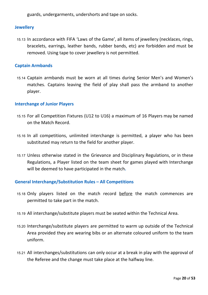guards, undergarments, undershorts and tape on socks.

#### **Jewellery**

15.13 In accordance with FIFA 'Laws of the Game', all items of jewellery (necklaces, rings, bracelets, earrings, leather bands, rubber bands, etc) are forbidden and must be removed. Using tape to cover jewellery is not permitted.

#### **Captain Armbands**

15.14 Captain armbands must be worn at all times during Senior Men's and Women's matches. Captains leaving the field of play shall pass the armband to another player.

#### **Interchange of Junior Players**

- 15.15 For all Competition Fixtures (U12 to U16) a maximum of 16 Players may be named on the Match Record.
- 15.16 In all competitions, unlimited interchange is permitted, a player who has been substituted may return to the field for another player.
- 15.17 Unless otherwise stated in the Grievance and Disciplinary Regulations, or in these Regulations, a Player listed on the team sheet for games played with Interchange will be deemed to have participated in the match**.**

#### **General Interchange/Substitution Rules – All Competitions**

- 15.18 Only players listed on the match record before the match commences are permitted to take part in the match.
- 15.19 All interchange/substitute players must be seated within the Technical Area.
- 15.20 Interchange/substitute players are permitted to warm up outside of the Technical Area provided they are wearing bibs or an alternate coloured uniform to the team uniform.
- 15.21 All interchanges/substitutions can only occur at a break in play with the approval of the Referee and the change must take place at the halfway line.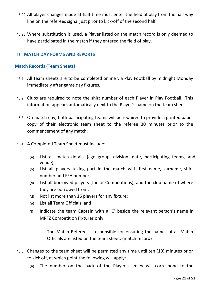- 15.22 All player changes made at half time must enter the field of play from the half way line on the referees signal just prior to kick-off of the second half.
- 15.23 Where substitution is used, a Player listed on the match record is only deemed to have participated in the match if they entered the field of play.

#### <span id="page-20-0"></span>**16 MATCH DAY FORMS AND REPORTS**

#### **Match Records (Team Sheets)**

- 16.1 All team sheets are to be completed online via Play Football by midnight Monday immediately after game day fixtures.
- 16.2 Clubs are required to note the shirt number of each Player in Play Football. This information appears automatically next to the Player's name on the team sheet.
- 16.3 On match day, both participating teams will be required to provide a printed paper copy of their electronic team sheet to the referee 30 minutes prior to the commencement of any match.
- 16.4 A Completed Team Sheet must include:
	- (a) List all match details (age group, division, date, participating teams, and venue);
	- (b) List all players taking part in the match with first name, surname, shirt number and FFA number;
	- (c) List all borrowed players (Junior Competitions), and the club name of where they are borrowed from;
	- (d) Not list more than 16 players for any fixture;
	- (e) List all Team Officials; and
	- $(f)$  Indicate the team Captain with a 'C' beside the relevant person's name in MRFZ Competition Fixtures only.
		- i. The Match Referee is responsible for ensuring the names of all Match Officials are listed on the team sheet. (match record)
- 16.5 Changes to the team sheet will be permitted any time until ten (10) minutes prior to kick off, at which point the following will apply:
	- (a) The number on the back of the Player's jersey will correspond to the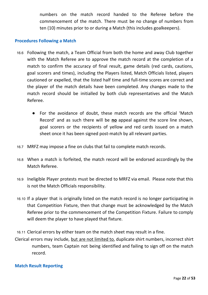numbers on the match record handed to the Referee before the commencement of the match. There must be no change of numbers from ten (10) minutes prior to or during a Match (this includes goalkeepers).

#### **Procedures Following a Match**

- 16.6 Following the match, a Team Official from both the home and away Club together with the Match Referee are to approve the match record at the completion of a match to confirm the accuracy of final result, game details (red cards, cautions, goal scorers and times), including the Players listed, Match Officials listed, players cautioned or expelled, that the listed half time and full-time scores are correct and the player of the match details have been completed. Any changes made to the match record should be initialled by both club representatives and the Match Referee.
	- For the avoidance of doubt, these match records are the official 'Match Record' and as such there will be **no** appeal against the score line shown, goal scorers or the recipients of yellow and red cards issued on a match sheet once it has been signed post-match by all relevant parties.
- 16.7 MRFZ may impose a fine on clubs that fail to complete match records.
- 16.8 When a match is forfeited, the match record will be endorsed accordingly by the Match Referee.
- 16.9 Ineligible Player protests must be directed to MRFZ via email. Please note that this is not the Match Officials responsibility.
- 16.10 If a player that is originally listed on the match record is no longer participating in that Competition Fixture, then that change must be acknowledged by the Match Referee prior to the commencement of the Competition Fixture. Failure to comply will deem the player to have played that fixture.

16.11 Clerical errors by either team on the match sheet may result in a fine.

Clerical errors may include, but are not limited to, duplicate shirt numbers, incorrect shirt numbers, team Captain not being identified and failing to sign off on the match record.

#### **Match Result Reporting**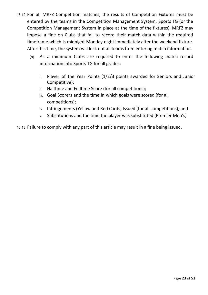- 16.12 For all MRFZ Competition matches, the results of Competition Fixtures must be entered by the teams in the Competition Management System, Sports TG (or the Competition Management System in place at the time of the fixtures). MRFZ may impose a fine on Clubs that fail to record their match data within the required timeframe which is midnight Monday night immediately after the weekend fixture. After this time, the system will lock out all teams from entering match information.
	- (a) As a minimum Clubs are required to enter the following match record information into Sports TG for all grades;
		- i. Player of the Year Points (1/2/3 points awarded for Seniors and Junior Competitive);
		- ii. Halftime and Fulltime Score (for all competitions);
		- iii. Goal Scorers and the time in which goals were scored (for all competitions);
		- iv. Infringements (Yellow and Red Cards) Issued (for all competitions); and
		- v. Substitutions and the time the player was substituted (Premier Men's)

16.13 Failure to comply with any part of this article may result in a fine being issued.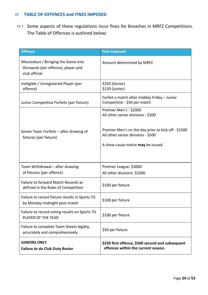#### <span id="page-23-0"></span>**17 TABLE OF OFFENCES and FINES IMPOSED**

17.1 Some aspects of these regulations incur fines for Breaches in MRFZ Competitions. The Table of Offences is outlined below:

| <b>Offence</b>                                                                               | <b>Fine Imposed</b>                                                                                                                                                                             |
|----------------------------------------------------------------------------------------------|-------------------------------------------------------------------------------------------------------------------------------------------------------------------------------------------------|
| Misconduct / Bringing the Game into<br>Disrepute (per offence), player and<br>club official. | Amount determined by MRFZ.                                                                                                                                                                      |
| Ineligible / Unregistered Player (per<br>offence)                                            | \$250 (Senior)<br>\$120 (Junior)                                                                                                                                                                |
| Junior Competitive Forfeits (per fixture)                                                    | Forfeit a match after midday Friday - Junior<br>Competitive - \$50 per match                                                                                                                    |
| Senior Team Forfeits - after drawing of<br>fixtures (per fixture)                            | Premier Men's - \$2000<br>All other senior divisions - \$300<br>Premier Men's on the day prior to kick off - \$1500<br>All other senior divisions - \$500<br>A show cause notice may be issued. |
| Team Withdrawal - after drawing<br>of fixtures (per offence)                                 | Premier League: \$3000<br>All other divisions: \$1000                                                                                                                                           |
| Failure to forward Match Records as<br>defined in the Rules of Competition                   | \$100 per fixture                                                                                                                                                                               |
| Failure to record fixture results in Sports TG<br>by Monday midnight post-match              | \$100 per fixture                                                                                                                                                                               |
| Failure to record voting results on Sports TG<br>PLAYER OF THE YEAR                          | \$100 per fixture                                                                                                                                                                               |
| Failure to complete Team Sheets legibly,<br>accurately and comprehensively.                  | \$50 per fixture                                                                                                                                                                                |
| <b>JUNIORS ONLY</b><br><b>Failure to do Club Duty Roster</b>                                 | \$250 first offence, \$500 second and subsequent<br>offences within the current season.                                                                                                         |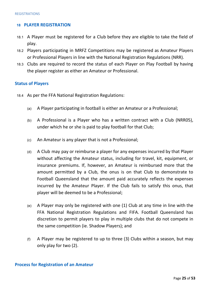#### <span id="page-24-0"></span>**18 PLAYER REGISTRATION**

- 18.1 A Player must be registered for a Club before they are eligible to take the field of play.
- 18.2 Players participating in MRFZ Competitions may be registered as Amateur Players or Professional Players in line with the National Registration Regulations (NRR).
- 18.3 Clubs are required to record the status of each Player on Play Football by having the player register as either an Amateur or Professional.

#### **Status of Players**

- 18.4 As per the FFA National Registration Regulations:
	- (a) A Player participating in football is either an Amateur or a Professional;
	- (b) A Professional is a Player who has a written contract with a Club (NRR05), under which he or she is paid to play football for that Club;
	- (c) An Amateur is any player that is not a Professional;
	- (d) A Club may pay or reimburse a player for any expenses incurred by that Player without affecting the Amateur status, including for travel, kit, equipment, or insurance premiums. If, however, an Amateur is reimbursed more that the amount permitted by a Club, the onus is on that Club to demonstrate to Football Queensland that the amount paid accurately reflects the expenses incurred by the Amateur Player. If the Club fails to satisfy this onus, that player will be deemed to be a Professional;
	- (e) A Player may only be registered with one (1) Club at any time in line with the FFA National Registration Regulations and FIFA. Football Queensland has discretion to permit players to play in multiple clubs that do not compete in the same competition (ie. Shadow Players); and
	- (f) A Player may be registered to up to three (3) Clubs within a season, but may only play for two (2).

#### **Process for Registration of an Amateur**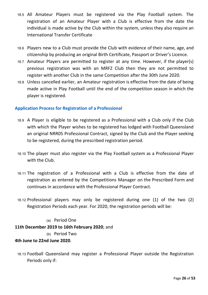- 18.5 All Amateur Players must be registered via the Play Football system. The registration of an Amateur Player with a Club is effective from the date the individual is made active by the Club within the system, unless they also require an International Transfer Certificate
- 18.6 Players new to a Club must provide the Club with evidence of their name, age, and citizenship by producing an original Birth Certificate, Passport or Driver's Licence.
- 18.7 Amateur Players are permitted to register at any time. However, if the player(s) previous registration was with an MRFZ Club then they are not permitted to register with another Club in the same Competition after the 30th June 2020.
- 18.8 Unless cancelled earlier, an Amateur registration is effective from the date of being made active in Play Football until the end of the competition season in which the player is registered.

#### **Application Process for Registration of a Professional**

- 18.9 A Player is eligible to be registered as a Professional with a Club only if the Club with which the Player wishes to be registered has lodged with Football Queensland an original NRR05 Professional Contract, signed by the Club and the Player seeking to be registered, during the prescribed registration period.
- 18.10 The player must also register via the Play Football system as a Professional Player with the Club.
- 18.11 The registration of a Professional with a Club is effective from the date of registration as entered by the Competitions Manager on the Prescribed Form and continues in accordance with the Professional Player Contract.
- 18.12 Professional players may only be registered during one (1) of the two (2) Registration Periods each year. For 2020, the registration periods will be:

#### (a) Period One

#### **11th December 2019 to 16th February 2020**; and

#### (b) Period Two

#### **4th June to 22nd June 2020**.

18.13 Football Queensland may register a Professional Player outside the Registration Periods only if: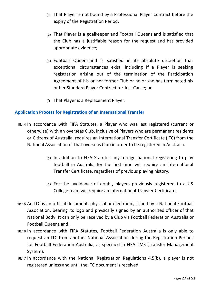- (c) That Player is not bound by a Professional Player Contract before the expiry of the Registration Period;
- (d) That Player is a goalkeeper and Football Queensland is satisfied that the Club has a justifiable reason for the request and has provided appropriate evidence;
- (e) Football Queensland is satisfied in its absolute discretion that exceptional circumstances exist, including if a Player is seeking registration arising out of the termination of the Participation Agreement of his or her former Club or he or she has terminated his or her Standard Player Contract for Just Cause; or
- (f) That Player is a Replacement Player.

#### **Application Process for Registration of an International Transfer**

- 18.14 In accordance with FIFA Statutes, a Player who was last registered (current or otherwise) with an overseas Club, inclusive of Players who are permanent residents or Citizens of Australia, requires an International Transfer Certificate (ITC) from the National Association of that overseas Club in order to be registered in Australia.
	- (g) In addition to FIFA Statutes any foreign national registering to play football in Australia for the first time will require an International Transfer Certificate, regardless of previous playing history.
	- (h) For the avoidance of doubt, players previously registered to a US College team will require an International Transfer Certificate.
- 18.15 An ITC is an official document, physical or electronic, issued by a National Football Association, bearing its logo and physically signed by an authorised officer of that National Body. It can only be received by a Club via Football Federation Australia or Football Queensland.
- 18.16 In accordance with FIFA Statutes, Football Federation Australia is only able to request an ITC from another National Association during the Registration Periods for Football Federation Australia, as specified in FIFA TMS (Transfer Management System).
- 18.17 In accordance with the National Registration Regulations 4.5(b), a player is not registered unless and until the ITC document is received.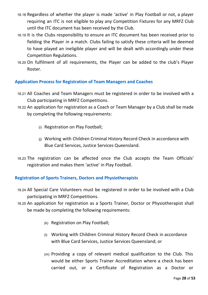- 18.18 Regardless of whether the player is made 'active' in Play Football or not, a player requiring an ITC is not eligible to play any Competition Fixtures for any MRFZ Club until the ITC document has been received by the Club.
- 18.19 It is the Clubs responsibility to ensure an ITC document has been received prior to fielding the Player in a match. Clubs failing to satisfy these criteria will be deemed to have played an ineligible player and will be dealt with accordingly under these Competition Regulations.
- 18.20 On fulfilment of all requirements, the Player can be added to the club's Player Roster.

#### **Application Process for Registration of Team Managers and Coaches**

- 18.21 All Coaches and Team Managers must be registered in order to be involved with a Club participating in MRFZ Competitions.
- 18.22 An application for registration as a Coach or Team Manager by a Club shall be made by completing the following requirements:
	- (i) Registration on Play Football;
	- (j) Working with Children Criminal History Record Check in accordance with Blue Card Services, Justice Services Queensland.
- 18.23 The registration can be affected once the Club accepts the Team Officials' registration and makes them 'active' in Play Football.

#### **Registration of Sports Trainers, Doctors and Physiotherapists**

- 18.24 All Special Care Volunteers must be registered in order to be involved with a Club participating in MRFZ Competitions.
- 18.25 An application for registration as a Sports Trainer, Doctor or Physiotherapist shall be made by completing the following requirements:
	- (k) Registration on Play Football;
	- (l) Working with Children Criminal History Record Check in accordance with Blue Card Services, Justice Services Queensland; or
	- (m) Providing a copy of relevant medical qualification to the Club. This would be either Sports Trainer Accreditation where a check has been carried out, or a Certificate of Registration as a Doctor or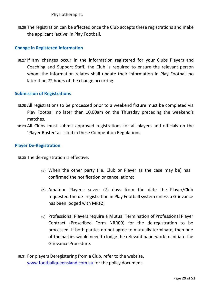Physiotherapist.

18.26 The registration can be affected once the Club accepts these registrations and make the applicant 'active' in Play Football.

#### **Change in Registered Information**

18.27 If any changes occur in the information registered for your Clubs Players and Coaching and Support Staff, the Club is required to ensure the relevant person whom the information relates shall update their information in Play Football no later than 72 hours of the change occurring.

#### **Submission of Registrations**

- 18.28 All registrations to be processed prior to a weekend fixture must be completed via Play Football no later than 10.00am on the Thursday preceding the weekend's matches.
- 18.29 All Clubs must submit approved registrations for all players and officials on the 'Player Roster' as listed in these Competition Regulations.

#### **Player De-Registration**

18.30 The de-registration is effective:

- (a) When the other party (i.e. Club or Player as the case may be) has confirmed the notification or cancellations;
- (b) Amateur Players: seven (7) days from the date the Player/Club requested the de- registration in Play Football system unless a Grievance has been lodged with MRFZ;
- (c) Professional Players require a Mutual Termination of Professional Player Contract (Prescribed Form NRR09) for the de-registration to be processed. If both parties do not agree to mutually terminate, then one of the parties would need to lodge the relevant paperwork to initiate the Grievance Procedure.

18.31 For players Deregistering from a Club, refer to the website, [www.footballqueensland.com.au](http://www.footballqueensland.com.au/) for the policy document.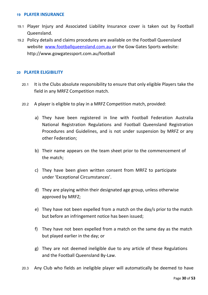#### <span id="page-29-0"></span>**19 PLAYER INSURANCE**

- 19.1 Player Injury and Associated Liability Insurance cover is taken out by Football Queensland.
- 19.2 Policy details and claims procedures are available on the Football Queensland website www.footballqueensland.com.au or the Gow Gates Sports website: <http://www.gowgatessport.com.au/football>

#### <span id="page-29-1"></span>**20 PLAYER ELIGIBILITY**

- 20.1 It is the Clubs absolute responsibility to ensure that only eligible Players take the field in any MRFZ Competition match.
- 20.2 A player is eligible to play in a MRFZ Competition match, provided:
	- a) They have been registered in line with Football Federation Australia National Registration Regulations and Football Queensland Registration Procedures and Guidelines, and is not under suspension by MRFZ or any other Federation;
	- b) Their name appears on the team sheet prior to the commencement of the match;
	- c) They have been given written consent from MRFZ to participate under 'Exceptional Circumstances'.
	- d) They are playing within their designated age group, unless otherwise approved by MRFZ;
	- e) They have not been expelled from a match on the day/s prior to the match but before an infringement notice has been issued;
	- f) They have not been expelled from a match on the same day as the match but played earlier in the day; or
	- g) They are not deemed ineligible due to any article of these Regulations and the Football Queensland By-Law.
- 20.3 Any Club who fields an ineligible player will automatically be deemed to have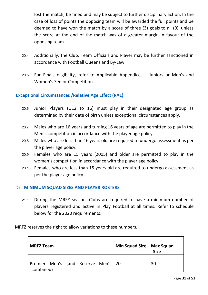lost the match, be fined and may be subject to further disciplinary action. In the case of loss of points the opposing team will be awarded the full points and be deemed to have won the match by a score of three (3) goals to nil (0), unless the score at the end of the match was of a greater margin in favour of the opposing team.

- 20.4 Additionally, the Club, Team Officials and Player may be further sanctioned in accordance with Football Queensland By-Law.
- 20.5 For Finals eligibility, refer to Applicable Appendices Juniors or Men's and Women's Senior Competition.

#### **Exceptional Circumstances /Relative Age Effect (RAE)**

- 20.6 Junior Players (U12 to 16) must play in their designated age group as determined by their date of birth unless exceptional circumstances apply.
- 20.7 Males who are 16 years and turning 16 years of age are permitted to play in the Men's competition in accordance with the player age policy.
- 20.8 Males who are less than 16 years old are required to undergo assessment as per the player age policy.
- 20.9 Females who are 15 years (2005) and older are permitted to play in the women's competition in accordance with the player age policy.
- 20.10 Females who are less than 15 years old are required to undergo assessment as per the player age policy.

#### <span id="page-30-0"></span>**21 MINIMUM SQUAD SIZES AND PLAYER ROSTERS**

21.1 During the MRFZ season, Clubs are required to have a minimum number of players registered and active in Play Football at all times. Refer to schedule below for the 2020 requirements:

MRFZ reserves the right to allow variations to these numbers.

| <b>MRFZ Team</b>                                 | $\vert$ Min Squad Size $\vert$ Max Squad | <b>Size</b> |
|--------------------------------------------------|------------------------------------------|-------------|
| Premier Men's (and Reserve Men's 20<br>combined) |                                          | 30          |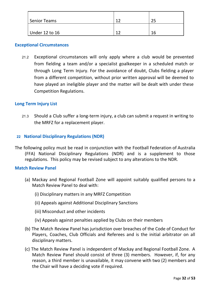| Senior Teams   | າາ | つに |
|----------------|----|----|
| Under 12 to 16 | ຳາ | 16 |

#### **Exceptional Circumstances**

21.2 Exceptional circumstances will only apply where a club would be prevented from fielding a team and/or a specialist goalkeeper in a scheduled match or through Long Term Injury. For the avoidance of doubt, Clubs fielding a player from a different competition, without prior written approval will be deemed to have played an ineligible player and the matter will be dealt with under these Competition Regulations.

#### **Long Term Injury List**

21.3 Should a Club suffer a long-term injury, a club can submit a request in writing to the MRFZ for a replacement player.

#### <span id="page-31-0"></span>**22 National Disciplinary Regulations (NDR)**

The following policy must be read in conjunction with the Football Federation of Australia (FFA) National Disciplinary Regulations (NDR) and is a supplement to those regulations. This policy may be revised subject to any alterations to the NDR.

#### **Match Review Panel**

- (a) Mackay and Regional Football Zone will appoint suitably qualified persons to a Match Review Panel to deal with:
	- (i) Disciplinary matters in any MRFZ Competition
	- (ii) Appeals against Additional Disciplinary Sanctions
	- (iii) Misconduct and other incidents
	- (iv) Appeals against penalties applied by Clubs on their members
- (b) The Match Review Panel has jurisdiction over breaches of the Code of Conduct for Players, Coaches, Club Officials and Referees and is the initial arbitrator on all disciplinary matters.
- (c) The Match Review Panel is independent of Mackay and Regional Football Zone. A Match Review Panel should consist of three (3) members. However, if, for any reason, a third member is unavailable, it may convene with two (2) members and the Chair will have a deciding vote if required.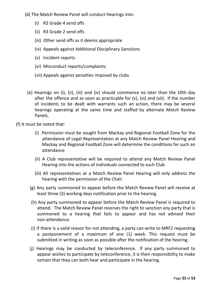- (d) The Match Review Panel will conduct Hearings into:
	- (i) R2 Grade 4 send offs
	- (ii) R3 Grade 2 send offs
	- (iii) Other send offs as it deems appropriate
	- (iv) Appeals against Additional Disciplinary Sanctions
	- (v) Incident reports
	- (vi) Misconduct reports/complaints
	- (vii) Appeals against penalties imposed by clubs
	- (e) Hearings on (i), (ii), (iii) and (iv) should commence no later than the 10th day after the offence and as soon as practicable for (v), (vi) and (vii). If the number of incidents to be dealt with warrants such an action, there may be several hearings operating at the same time and staffed by alternate Match Review Panels.

(f) It must be noted that:

- (i) Permission must be sought from Mackay and Regional Football Zone for the attendance of Legal Representation at any Match Review Panel Hearing and Mackay and Regional Football Zone will determine the conditions for such an attendance
- (ii) A Club representative will be required to attend any Match Review Panel Hearing into the actions of individuals connected to such Club
- (iii) All representatives at a Match Review Panel Hearing will only address the hearing with the permission of the Chair.
- (g) Any party summoned to appear before the Match Review Panel will receive at least three (3) working days notification prior to the hearing.
- (h) Any party summoned to appear before the Match Review Panel is required to attend. The Match Review Panel reserves the right to sanction any party that is summoned to a hearing that fails to appear and has not advised their non-attendance.
- (i) If there is a valid reason for not attending, a party can write to MRFZ requesting a postponement of a maximum of one (1) week. This request must be submitted in writing as soon as possible after the notification of the hearing.
- (j) Hearings may be conducted by teleconference. If any party summoned to appear wishes to participate by teleconference, it is their responsibility to make certain that they can both hear and participate in the hearing.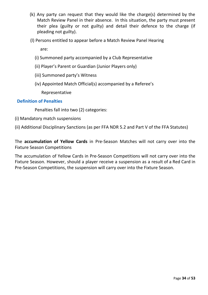- (k) Any party can request that they would like the charge(s) determined by the Match Review Panel in their absence. In this situation, the party must present their plea (guilty or not guilty) and detail their defence to the charge (if pleading not guilty).
- (l) Persons entitled to appear before a Match Review Panel Hearing

are:

- (i) Summoned party accompanied by a Club Representative
- (ii) Player's Parent or Guardian (Junior Players only)
- (iii) Summoned party's Witness
- (iv) Appointed Match Official(s) accompanied by a Referee's

Representative

#### **Definition of Penalties**

Penalties fall into two (2) categories:

(i) Mandatory match suspensions

(ii) Additional Disciplinary Sanctions (as per FFA NDR 5.2 and Part V of the FFA Statutes)

The **accumulation of Yellow Cards** in Pre-Season Matches will not carry over into the Fixture Season Competitions

The accumulation of Yellow Cards in Pre-Season Competitions will not carry over into the Fixture Season. However, should a player receive a suspension as a result of a Red Card in Pre-Season Competitions, the suspension will carry over into the Fixture Season.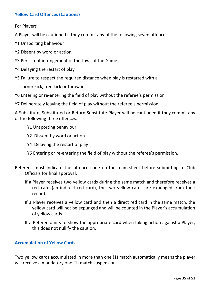#### **Yellow Card Offences (Cautions)**

For Players

A Player will be cautioned if they commit any of the following seven offences:

- Y1 Unsporting behaviour
- Y2 Dissent by word or action
- Y3 Persistent infringement of the Laws of the Game
- Y4 Delaying the restart of play
- Y5 Failure to respect the required distance when play is restarted with a

corner kick, free kick or throw in

- Y6 Entering or re-entering the field of play without the referee's permission
- Y7 Deliberately leaving the field of play without the referee's permission

A Substitute, Substituted or Return Substitute Player will be cautioned if they commit any of the following three offences:

- Y1 Unsporting behaviour
- Y2 Dissent by word or action
- Y4 Delaying the restart of play
- Y6 Entering or re-entering the field of play without the referee's permission.
- Referees must indicate the offence code on the team-sheet before submitting to Club Officials for final approval.
	- If a Player receives two yellow cards during the same match and therefore receives a red card (an indirect red card), the two yellow cards are expunged from their record.
	- If a Player receives a yellow card and then a direct red card in the same match, the yellow card will not be expunged and will be counted in the Player's accumulation of yellow cards
	- If a Referee omits to show the appropriate card when taking action against a Player, this does not nullify the caution.

#### **Accumulation of Yellow Cards**

Two yellow cards accumulated in more than one (1) match automatically means the player will receive a mandatory one (1) match suspension.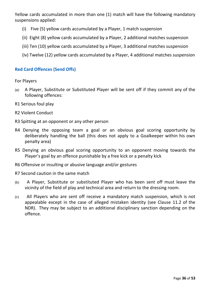Yellow cards accumulated in more than one (1) match will have the following mandatory suspensions applied:

- (i) Five (5) yellow cards accumulated by a Player, 1 match suspension
- (ii) Eight (8) yellow cards accumulated by a Player, 2 additional matches suspension
- (iii) Ten (10) yellow cards accumulated by a Player, 3 additional matches suspension
- (iv) Twelve (12) yellow cards accumulated by a Player, 4 additional matches suspension

#### **Red Card Offences (Send Offs)**

For Players

- (a) A Player, Substitute or Substituted Player will be sent off if they commit any of the following offences:
- R1 Serious foul play
- R2 Violent Conduct
- R3 Spitting at an opponent or any other person
- R4 Denying the opposing team a goal or an obvious goal scoring opportunity by deliberately handling the ball (this does not apply to a Goalkeeper within his own penalty area)
- R5 Denying an obvious goal scoring opportunity to an opponent moving towards the Player's goal by an offence punishable by a free kick or a penalty kick
- R6 Offensive or insulting or abusive language and/or gestures
- R7 Second caution in the same match
- (b) A Player, Substitute or substituted Player who has been sent off must leave the vicinity of the field of play and technical area and return to the dressing room.
- (c) All Players who are sent off receive a mandatory match suspension, which is not appealable except in the case of alleged mistaken identity (see Clause 11.2 of the NDR). They may be subject to an additional disciplinary sanction depending on the offence.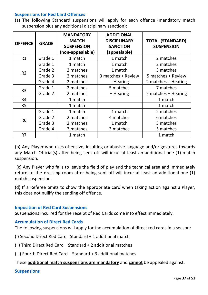#### **Suspensions for Red Card Offences**

(a) The following Standard suspensions will apply for each offence (mandatory match suspension plus any additional disciplinary sanction):

| <b>OFFENCE</b> | <b>GRADE</b> | <b>MANDATORY</b><br><b>MATCH</b><br><b>SUSPENSION</b><br>(non-appealable) | <b>ADDITIONAL</b><br><b>DISCIPLINARY</b><br><b>SANCTION</b><br>(appealable) | <b>TOTAL (STANDARD)</b><br><b>SUSPENSION</b> |
|----------------|--------------|---------------------------------------------------------------------------|-----------------------------------------------------------------------------|----------------------------------------------|
| R1             | Grade 1      | 1 match                                                                   | 1 match                                                                     | 2 matches                                    |
|                | Grade 1      | 1 match                                                                   | 1 match                                                                     | 2 matches                                    |
| R <sub>2</sub> | Grade 2      | 2 matches                                                                 | 1 match                                                                     | 3 matches                                    |
|                | Grade 3      | 2 matches                                                                 | 3 matches + Review                                                          | 5 matches + Review                           |
|                | Grade 4      | 2 matches                                                                 | + Hearing                                                                   | 2 matches + Hearing                          |
| R <sub>3</sub> | Grade 1      | 2 matches                                                                 | 5 matches                                                                   | 7 matches                                    |
| Grade 2        |              | 2 matches                                                                 | + Hearing                                                                   | 2 matches + Hearing                          |
| R <sub>4</sub> |              | 1 match                                                                   |                                                                             | 1 match                                      |
| R <sub>5</sub> |              | 1 match                                                                   |                                                                             | 1 match                                      |
|                | Grade 1      | 1 match                                                                   | 1 match                                                                     | 2 matches                                    |
| <b>R6</b>      | Grade 2      | 2 matches                                                                 | 4 matches                                                                   | 6 matches                                    |
|                | Grade 3      | 2 matches                                                                 | 1 match                                                                     | 3 matches                                    |
|                | Grade 4      | 2 matches                                                                 | 3 matches                                                                   | 5 matches                                    |
| R7             |              | 1 match                                                                   |                                                                             | 1 match                                      |

(b) Any Player who uses offensive, insulting or abusive language and/or gestures towards any Match Official(s) after being sent off will incur at least an additional one (1) match suspension.

(c) Any Player who fails to leave the field of play and the technical area and immediately return to the dressing room after being sent off will incur at least an additional one (1) match suspension.

(d) If a Referee omits to show the appropriate card when taking action against a Player, this does not nullify the sending off offence.

#### **Imposition of Red Card Suspensions**

Suspensions incurred for the receipt of Red Cards come into effect immediately.

#### **Accumulation of Direct Red Cards**

The following suspensions will apply for the accumulation of direct red cards in a season:

(i) Second Direct Red Card Standard + 1 additional match

(ii) Third Direct Red Card Standard + 2 additional matches

(iii) Fourth Direct Red Card Standard + 3 additional matches

#### These **additional match suspensions are mandatory** and **cannot** be appealed against.

#### **Suspensions**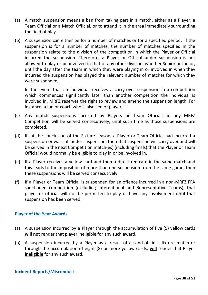- (a) A match suspension means a ban from taking part in a match, either as a Player, a Team Official or a Match Official, or to attend it in the area immediately surrounding the field of play.
- (b) A suspension can either be for a number of matches or for a specified period. If the suspension is for a number of matches, the number of matches specified in the suspension relate to the division of the competition in which the Player or Official incurred the suspension. Therefore, a Player or Official under suspension is not allowed to play or be involved in that or any other division, whether Senior or Junior, until the day after the team in which they were playing in or involved in when they incurred the suspension has played the relevant number of matches for which they were suspended.

In the event that an individual receives a carry-over suspension in a competition which commences significantly later than another competition the individual is involved in, MRFZ reserves the right to review and amend the suspension length. For instance, a junior coach who is also senior player.

- (c) Any match suspensions incurred by Players or Team Officials in any MRFZ Competition will be served consecutively, until such time as those suspensions are completed.
- (d) If, at the conclusion of the Fixture season, a Player or Team Official had incurred a suspension or was still under suspension, then that suspension will carry over and will be served in the next Competition match(es) (including finals) that the Player or Team Official would normally be eligible to play in or be involved in.
- (e) If a Player receives a yellow card and then a direct red card in the same match and this leads to the imposition of more than one suspension from the same game, then these suspensions will be served consecutively.
- (f) If a Player or Team Official is suspended for an offence incurred in a non-MRFZ FFA sanctioned competition (excluding International and Representative Teams), that player or official will not be permitted to play or have any involvement until that suspension has been served.

#### **Player of the Year Awards**

- (a) A suspension incurred by a Player through the accumulation of five (5) yellow cards **will not** render that player ineligible for any such award.
- (b) A suspension incurred by a Player as a result of a send-off in a fixture match or through the accumulation of eight (8) or more yellow cards, **will** render that Player **ineligible** for any such award.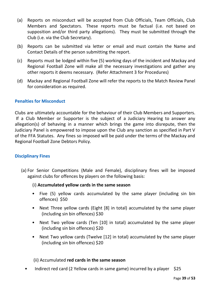- (a) Reports on misconduct will be accepted from Club Officials, Team Officials, Club Members and Spectators. These reports must be factual (i.e. not based on supposition and/or third party allegations). They must be submitted through the Club (i.e. via the Club Secretary).
- (b) Reports can be submitted via letter or email and must contain the Name and Contact Details of the person submitting the report.
- (c) Reports must be lodged within five (5) working days of the incident and Mackay and Regional Football Zone will make all the necessary investigations and gather any other reports it deems necessary. (Refer Attachment 3 for Procedures)
- (d) Mackay and Regional Football Zone will refer the reports to the Match Review Panel for consideration as required.

#### **Penalties for Misconduct**

Clubs are ultimately accountable for the behaviour of their Club Members and Supporters. If a Club Member or Supporter is the subject of a Judiciary Hearing to answer any allegation(s) of behaving in a manner which brings the game into disrepute, then the Judiciary Panel is empowered to impose upon the Club any sanction as specified in Part V of the FFA Statutes. Any fines so imposed will be paid under the terms of the Mackay and Regional Football Zone Debtors Policy.

#### **Disciplinary Fines**

(a) For Senior Competitions (Male and Female), disciplinary fines will be imposed against clubs for offences by players on the following basis:

#### (i) **Accumulated yellow cards in the same season**

- Five (5) yellow cards accumulated by the same player (including sin bin offences) \$50
- Next Three yellow cards (Eight [8] in total) accumulated by the same player (including sin bin offences) \$30
- Next Two yellow cards (Ten [10] in total) accumulated by the same player (including sin bin offences) \$20
- Next Two yellow cards (Twelve [12] in total) accumulated by the same player (including sin bin offences) \$20

#### (ii) Accumulated **red cards in the same season**

Indirect red card (2 Yellow cards in same game) incurred by a player  $$25$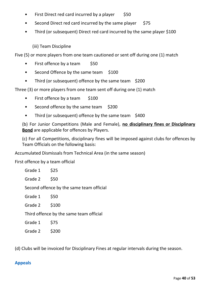- $\bullet$  First Direct red card incurred by a player \$50
- Second Direct red card incurred by the same player \$75
- Third (or subsequent) Direct red card incurred by the same player \$100

(iii) Team Discipline

Five (5) or more players from one team cautioned or sent off during one (1) match

- First offence by a team  $$50$
- Second Offence by the same team \$100
- Third (or subsequent) offence by the same team \$200

Three (3) or more players from one team sent off during one (1) match

- First offence by a team \$100
- Second offence by the same team \$200
- Third (or subsequent) offence by the same team \$400

(b) For Junior Competitions (Male and Female), **no disciplinary fines or Disciplinary Bond** are applicable for offences by Players.

(c) For all Competitions, disciplinary fines will be imposed against clubs for offences by Team Officials on the following basis:

Accumulated Dismissals from Technical Area (in the same season)

First offence by a team official

| Grade 1 | \$25                                     |
|---------|------------------------------------------|
| Grade 2 | \$50                                     |
|         | Second offence by the same team official |
| Grade 1 | \$50                                     |
| Grade 2 | \$100                                    |
|         | Third offence by the same team official  |
| Grade 1 | \$75                                     |
| Grade 2 | \$200                                    |

(d) Clubs will be invoiced for Disciplinary Fines at regular intervals during the season.

#### **Appeals**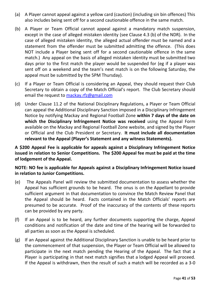- (a) A Player cannot appeal against a yellow card (caution) (including sin bin offences) This also includes being sent off for a second cautionable offence in the same match.
- (b) A Player or Team Official cannot appeal against a mandatory match suspension, except in the case of alleged mistaken identity (see Clause 4.3 (b) of the NDR). In the case of alleged mistaken identity, the alleged actual offender must be named and a statement from the offender must be submitted admitting the offence. (This does NOT include a Player being sent off for a second cautionable offence in the same match.) Any appeal on the basis of alleged mistaken identity must be submitted two days prior to the first match the player would be suspended for (eg if a player was sent off on a weekend and the team's next match is on the following Saturday, the appeal must be submitted by the 5PM Thursday).
- (c) If a Player or Team Official is considering an Appeal, they should request their Club Secretary to obtain a copy of the Match Official's report. The Club Secretary should email the request to [mackay.rfz@gmail.com](mailto:mackay.rfz@gmail.com)
- (d) Under Clause 11.2 of the National Disciplinary Regulations, a Player or Team Official can appeal the Additional Disciplinary Sanction imposed in a Disciplinary Infringement Notice by notifying Mackay and Regional Football Zone **within 7 days of the date on which the Disciplinary Infringement Notice was received** using the Appeal Form available on the Mackay and Regional Football Zone website, and signed by the Player or Official and the Club President or Secretary. **It must include all documentation relevant to the Appeal (Player's Statement and any witness Statements).**

**A \$200 Appeal Fee is applicable for appeals against a Disciplinary Infringement Notice issued in relation to Senior Competitions. The \$200 Appeal fee must be paid at the time of lodgement of the Appeal.**

**NOTE: NO fee is applicable for Appeals against a Disciplinary Infringement Notice issued in relation to Junior Competitions.**

- (e) The Appeals Panel will review the submitted documentation to assess whether the Appeal has sufficient grounds to be heard. The onus is on the Appellant to provide sufficient argument in that documentation to convince the Match Review Panel that the Appeal should be heard. Facts contained in the Match Officials' reports are presumed to be accurate. Proof of the inaccuracy of the contents of these reports can be provided by any party.
- (f) If an Appeal is to be heard, any further documents supporting the charge, Appeal conditions and notification of the date and time of the hearing will be forwarded to all parties as soon as the Appeal is scheduled.
- (g) If an Appeal against the Additional Disciplinary Sanction is unable to be heard prior to the commencement of that suspension, the Player or Team Official will be allowed to participate in the next match pending the Hearing of the Appeal. The fact that a Player is participating in that next match signifies that a lodged Appeal will proceed. If the Appeal is withdrawn, then the result of such a match will be recorded as a 3-0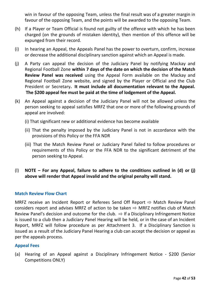win in favour of the opposing Team, unless the final result was of a greater margin in favour of the opposing Team, and the points will be awarded to the opposing Team.

- (h) If a Player or Team Official is found not guilty of the offence with which he has been charged (on the grounds of mistaken identity), then mention of this offence will be expunged from their record.
- (i) In hearing an Appeal, the Appeals Panel has the power to overturn, confirm, increase or decrease the additional disciplinary sanction against which an Appeal is made.
- (j) A Party can appeal the decision of the Judiciary Panel by notifying Mackay and Regional Football Zone **within 7 days of the date on which the decision of the Match Review Panel was received** using the Appeal Form available on the Mackay and Regional Football Zone website, and signed by the Player or Official and the Club President or Secretary**. It must include all documentation relevant to the Appeal. The \$200 appeal fee must be paid at the time of lodgement of the Appeal.**
- (k) An Appeal against a decision of the Judiciary Panel will not be allowed unless the person seeking to appeal satisfies MRFZ that one or more of the following grounds of appeal are involved:
	- (i) That significant new or additional evidence has become available
	- (ii) That the penalty imposed by the Judiciary Panel is not in accordance with the provisions of this Policy or the FFA NDR
	- (iii) That the Match Review Panel or Judiciary Panel failed to follow procedures or requirements of this Policy or the FFA NDR to the significant detriment of the person seeking to Appeal.
- (l) **NOTE – For any Appeal, failure to adhere to the conditions outlined in (d) or (j) above will render that Appeal invalid and the original penalty will stand.**

#### **Match Review Flow Chart**

MRFZ receive an Incident Report or Referees Send Off Report  $\Rightarrow$  Match Review Panel considers report and advises MRFZ of action to be taken  $\Rightarrow$  MRFZ notifies club of Match Review Panel's decision and outcome for the club.  $\Rightarrow$  If a Disciplinary Infringement Notice is issued to a club then a Judiciary Panel Hearing will be held, or in the case of an Incident Report, MRFZ will follow procedure as per Attachment 3. If a Disciplinary Sanction is issued as a result of the Judiciary Panel Hearing a club can accept the decision or appeal as per the appeals process.

#### **Appeal Fees**

(a) Hearing of an Appeal against a Disciplinary Infringement Notice - \$200 (Senior Competitions ONLY)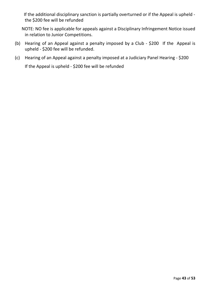If the additional disciplinary sanction is partially overturned or if the Appeal is upheld the \$200 fee will be refunded

NOTE: NO fee is applicable for appeals against a Disciplinary Infringement Notice issued in relation to Junior Competitions.

- (b) Hearing of an Appeal against a penalty imposed by a Club \$200 If the Appeal is upheld - \$200 fee will be refunded.
- (c) Hearing of an Appeal against a penalty imposed at a Judiciary Panel Hearing \$200

If the Appeal is upheld - \$200 fee will be refunded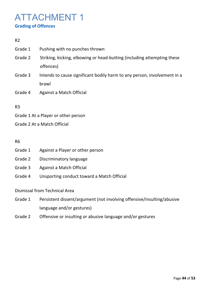### <span id="page-43-0"></span>ATTACHMENT 1 **Grading of Offences**

#### R2

Grade 1 Pushing with no punches thrown Grade 2 Striking, kicking, elbowing or head-butting (including attempting these offences) Grade 3 Intends to cause significant bodily harm to any person, involvement in a brawl Grade 4 Against a Match Official

#### R3

- Grade 1 At a Player or other person
- Grade 2 At a Match Official

#### R6

- Grade 1 Against a Player or other person
- Grade 2 Discriminatory language
- Grade 3 Against a Match Official
- Grade 4 Unsporting conduct toward a Match Official

Dismissal from Technical Area

- Grade 1 Persistent dissent/argument (not involving offensive/insulting/abusive language and/or gestures)
- Grade 2 Offensive or insulting or abusive language and/or gestures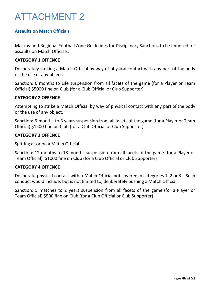### ATTACHMENT 2

#### **Assaults on Match Officials**

Mackay and Regional Football Zone Guidelines for Disciplinary Sanctions to be imposed for assaults on Match Officials.

#### **CATEGORY 1 OFFENCE**

Deliberately striking a Match Official by way of physical contact with any part of the body or the use of any object.

Sanction: 6 months to Life suspension from all facets of the game (for a Player or Team Official) \$5000 fine on Club (for a Club Official or Club Supporter)

#### **CATEGORY 2 OFFENCE**

Attempting to strike a Match Official by way of physical contact with any part of the body or the use of any object.

Sanction: 6 months to 3 years suspension from all facets of the game (for a Player or Team Official) \$1500 fine on Club (for a Club Official or Club Supporter)

#### **CATEGORY 3 OFFENCE**

Spitting at or on a Match Official.

Sanction: 12 months to 18 months suspension from all facets of the game (for a Player or Team Official). \$1000 fine on Club (for a Club Official or Club Supporter)

#### **CATEGORY 4 OFFENCE**

Deliberate physical contact with a Match Official not covered in categories 1, 2 or 3. Such conduct would include, but is not limited to, deliberately pushing a Match Official.

Sanction: 5 matches to 2 years suspension from all facets of the game (for a Player or Team Official) \$500 fine on Club (for a Club Official or Club Supporter)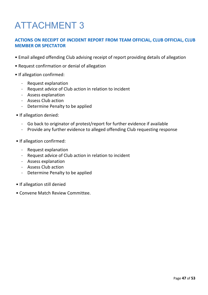## <span id="page-46-0"></span>ATTACHMENT 3

#### **ACTIONS ON RECEIPT OF INCIDENT REPORT FROM TEAM OFFICIAL, CLUB OFFICIAL, CLUB MEMBER OR SPECTATOR**

- Email alleged offending Club advising receipt of report providing details of allegation
- Request confirmation or denial of allegation
- If allegation confirmed:
	- Request explanation
	- Request advice of Club action in relation to incident
	- Assess explanation
	- Assess Club action
	- Determine Penalty to be applied
- If allegation denied:
	- Go back to originator of protest/report for further evidence if available
	- Provide any further evidence to alleged offending Club requesting response
- If allegation confirmed:
	- Request explanation
	- Request advice of Club action in relation to incident
	- Assess explanation
	- Assess Club action
	- Determine Penalty to be applied
- If allegation still denied
- Convene Match Review Committee.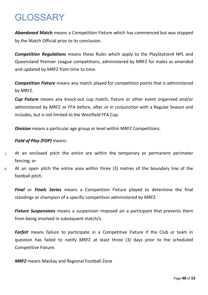### <span id="page-47-0"></span>GLOSSARY

*Abandoned* **Match** means a Competition Fixture which has commenced but was stopped by the Match Official prior to its conclusion.

*Competition Regulations* means these Rules which apply to the PlayStation4 NPL and Queensland Premier League competitions, administered by MRFZ for males as amended and updated by MRFZ from time to time.

*Competition Fixture* means any match played for competition points that is administered by MRFZ.

*Cup Fixture* means any knock-out cup match, fixture or other event organised and/or administered by MRFZ or FFA before, after or in conjunction with a Regular Season and includes, but is not limited to the Westfield FFA Cup.

*Division* means a particular age group or level within MRFZ Competitions.

#### *Field of Play (FOP)* means:

- i. At an enclosed pitch the entire are within the temporary or permanent perimeter fencing; or
- ii. At an open pitch the entire area within three (3) metres of the boundary line of the football pitch.

*Final* or *Finals Series* means a Competition Fixture played to determine the final standings or champion of a specific competition administered by MRFZ.

*Fixture Suspensions* means a suspension imposed on a participant that prevents them from being involved in subsequent match/s.

*Forfeit* means failure to participate in a Competitive Fixture if the Club or team in question has failed to notify MRFZ at least three (3) days prior to the scheduled Competitive Fixture.

*MRFZ* means Mackay and Regional Football Zone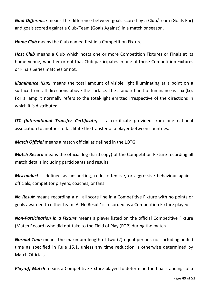*Goal Difference* means the difference between goals scored by a Club/Team (Goals For) and goals scored against a Club/Team (Goals Against) in a match or season.

*Home Club* means the Club named first in a Competition Fixture.

*Host Club* means a Club which hosts one or more Competition Fixtures or Finals at its home venue, whether or not that Club participates in one of those Competition Fixtures or Finals Series matches or not.

*Illuminance (Lux)* means the total amount of visible light illuminating at a point on a surface from all directions above the surface. The standard unit of luminance is Lux (lx). For a lamp it normally refers to the total-light emitted irrespective of the directions in which it is distributed.

*ITC (International Transfer Certificate)* is a certificate provided from one national association to another to facilitate the transfer of a player between countries.

*Match Official* means a match official as defined in the LOTG.

*Match Record* means the official log (hard copy) of the Competition Fixture recording all match details including participants and results.

*Misconduct* is defined as unsporting, rude, offensive, or aggressive behaviour against officials, competitor players, coaches, or fans.

*No Result* means recording a nil all score line in a Competitive Fixture with no points or goals awarded to either team. A 'No Result' is recorded as a Competition Fixture played.

*Non-Participation in a Fixture* means a player listed on the official Competitive Fixture (Match Record) who did not take to the Field of Play (FOP) during the match.

*Normal Time* means the maximum length of two (2) equal periods not including added time as specified in Rule 15.1, unless any time reduction is otherwise determined by Match Officials.

*Play-off Match* means a Competitive Fixture played to determine the final standings of a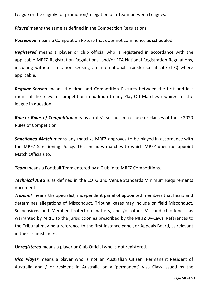League or the eligibly for promotion/relegation of a Team between Leagues.

*Played* means the same as defined in the Competition Regulations.

*Postponed* means a Competition Fixture that does not commence as scheduled.

*Registered* means a player or club official who is registered in accordance with the applicable MRFZ Registration Regulations, and/or FFA National Registration Regulations, including without limitation seeking an International Transfer Certificate (ITC) where applicable.

*Regular Season* means the time and Competition Fixtures between the first and last round of the relevant competition in addition to any Play Off Matches required for the league in question.

*Rule* or *Rules of Competition* means a rule/s set out in a clause or clauses of these 2020 Rules of Competition.

*Sanctioned Match* means any match/s MRFZ approves to be played in accordance with the MRFZ Sanctioning Policy. This includes matches to which MRFZ does not appoint Match Officials to.

*Team* means a Football Team entered by a Club in to MRFZ Competitions.

*Technical Area* is as defined in the LOTG and Venue Standards Minimum Requirements document.

*Tribunal* means the specialist, independent panel of appointed members that hears and determines allegations of Misconduct. Tribunal cases may include on field Misconduct, Suspensions and Member Protection matters, and /or other Misconduct offences as warranted by MRFZ to the jurisdiction as prescribed by the MRFZ By-Laws. References to the Tribunal may be a reference to the first instance panel, or Appeals Board, as relevant in the circumstances.

*Unregistered* means a player or Club Official who is not registered.

*Visa Player* means a player who is not an Australian Citizen, Permanent Resident of Australia and / or resident in Australia on a 'permanent' Visa Class issued by the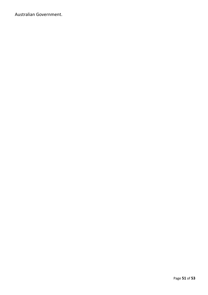Australian Government.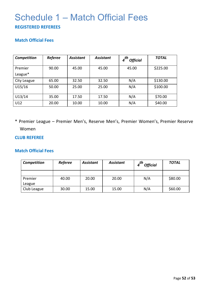### <span id="page-51-0"></span>Schedule 1 – Match Official Fees **REGISTERED REFEREES**

#### **Match Official Fees**

| Competition | <b>Referee</b> | <b>Assistant</b> | <b>Assistant</b> | _th<br><b>Official</b> | <b>TOTAL</b> |
|-------------|----------------|------------------|------------------|------------------------|--------------|
| Premier     | 90.00          | 45.00            | 45.00            | 45.00                  | \$225.00     |
| League*     |                |                  |                  |                        |              |
| City League | 65.00          | 32.50            | 32.50            | N/A                    | \$130.00     |
| U15/16      | 50.00          | 25.00            | 25.00            | N/A                    | \$100.00     |
| U13/14      | 35.00          | 17.50            | 17.50            | N/A                    | \$70.00      |
| U12         | 20.00          | 10.00            | 10.00            | N/A                    | \$40.00      |

\* Premier League – Premier Men's, Reserve Men's, Premier Women's, Premier Reserve Women

#### **CLUB REFEREE**

#### **Match Official Fees**

| Competition | <b>Referee</b> | <b>Assistant</b> | <b>Assistant</b> | _th<br><b>Official</b> | <b>TOTAL</b> |
|-------------|----------------|------------------|------------------|------------------------|--------------|
|             |                |                  |                  |                        |              |
| Premier     | 40.00          | 20.00            | 20.00            | N/A                    | \$80.00      |
| League      |                |                  |                  |                        |              |
| Club League | 30.00          | 15.00            | 15.00            | N/A                    | \$60.00      |